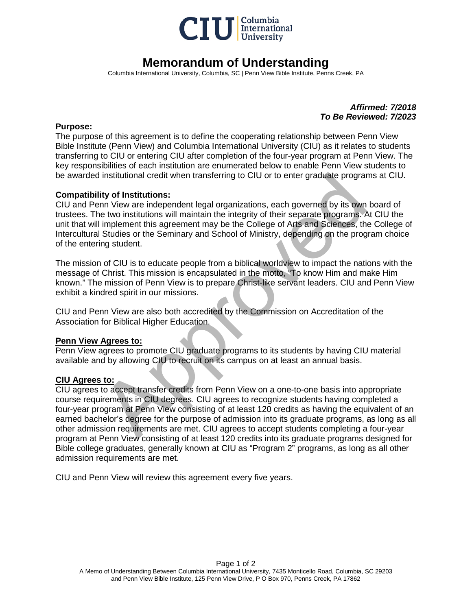

## **Memorandum of Understanding**

Columbia International University, Columbia, SC | Penn View Bible Institute, Penns Creek, PA

*Affirmed: 7/2018 To Be Reviewed: 7/2023*

#### **Purpose:**

The purpose of this agreement is to define the cooperating relationship between Penn View Bible Institute (Penn View) and Columbia International University (CIU) as it relates to students transferring to CIU or entering CIU after completion of the four-year program at Penn View. The key responsibilities of each institution are enumerated below to enable Penn View students to be awarded institutional credit when transferring to CIU or to enter graduate programs at CIU.

### **Compatibility of Institutions:**

CIU and Penn View are independent legal organizations, each governed by its own board of trustees. The two institutions will maintain the integrity of their separate programs. At CIU the unit that will implement this agreement may be the College of Arts and Sciences, the College of Intercultural Studies or the Seminary and School of Ministry, depending on the program choice of the entering student.

The mission of CIU is to educate people from a biblical worldview to impact the nations with the message of Christ. This mission is encapsulated in the motto, "To know Him and make Him known." The mission of Penn View is to prepare Christ-like servant leaders. CIU and Penn View exhibit a kindred spirit in our missions.

CIU and Penn View are also both accredited by the Commission on Accreditation of the Association for Biblical Higher Education.

#### **Penn View Agrees to:**

Penn View agrees to promote CIU graduate programs to its students by having CIU material available and by allowing CIU to recruit on its campus on at least an annual basis.

#### **CIU Agrees to:**

i institutional credit when transferring to CIU or to enter graduate programs a<br> **ity of Institutions:**<br>
In View are independent legal organizations, each governed by its own boan<br>
In View are independent legal organizatio CIU agrees to accept transfer credits from Penn View on a one-to-one basis into appropriate course requirements in CIU degrees. CIU agrees to recognize students having completed a four-year program at Penn View consisting of at least 120 credits as having the equivalent of an earned bachelor's degree for the purpose of admission into its graduate programs, as long as all other admission requirements are met. CIU agrees to accept students completing a four-year program at Penn View consisting of at least 120 credits into its graduate programs designed for Bible college graduates, generally known at CIU as "Program 2" programs, as long as all other admission requirements are met.

CIU and Penn View will review this agreement every five years.